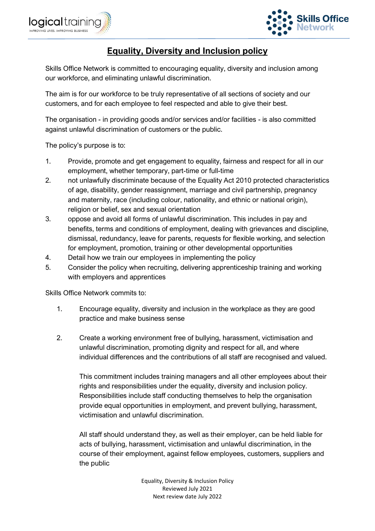



# **Equality, Diversity and Inclusion policy**

Skills Office Network is committed to encouraging equality, diversity and inclusion among our workforce, and eliminating unlawful discrimination.

The aim is for our workforce to be truly representative of all sections of society and our customers, and for each employee to feel respected and able to give their best.

The organisation - in providing goods and/or services and/or facilities - is also committed against unlawful discrimination of customers or the public.

The policy's purpose is to:

- 1. Provide, promote and get engagement to equality, fairness and respect for all in our employment, whether temporary, part-time or full-time
- 2. not unlawfully discriminate because of the Equality Act 2010 protected characteristics of age, disability, gender reassignment, marriage and civil partnership, pregnancy and maternity, race (including colour, nationality, and ethnic or national origin), religion or belief, sex and sexual orientation
- 3. oppose and avoid all forms of unlawful discrimination. This includes in pay and benefits, terms and conditions of employment, dealing with grievances and discipline, dismissal, redundancy, leave for parents, requests for flexible working, and selection for employment, promotion, training or other developmental opportunities
- 4. Detail how we train our employees in implementing the policy
- 5. Consider the policy when recruiting, delivering apprenticeship training and working with employers and apprentices

Skills Office Network commits to:

- 1. Encourage equality, diversity and inclusion in the workplace as they are good practice and make business sense
- 2. Create a working environment free of bullying, harassment, victimisation and unlawful discrimination, promoting dignity and respect for all, and where individual differences and the contributions of all staff are recognised and valued.

This commitment includes training managers and all other employees about their rights and responsibilities under the equality, diversity and inclusion policy. Responsibilities include staff conducting themselves to help the organisation provide equal opportunities in employment, and prevent bullying, harassment, victimisation and unlawful discrimination.

All staff should understand they, as well as their employer, can be held liable for acts of bullying, harassment, victimisation and unlawful discrimination, in the course of their employment, against fellow employees, customers, suppliers and the public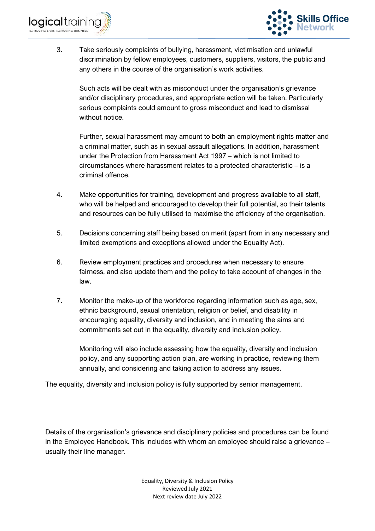



3. Take seriously complaints of bullying, harassment, victimisation and unlawful discrimination by fellow employees, customers, suppliers, visitors, the public and any others in the course of the organisation's work activities.

Such acts will be dealt with as misconduct under the organisation's grievance and/or disciplinary procedures, and appropriate action will be taken. Particularly serious complaints could amount to gross misconduct and lead to dismissal without notice.

Further, sexual harassment may amount to both an employment rights matter and a criminal matter, such as in sexual assault allegations. In addition, harassment under the Protection from Harassment Act 1997 – which is not limited to circumstances where harassment relates to a protected characteristic – is a criminal offence.

- 4. Make opportunities for training, development and progress available to all staff, who will be helped and encouraged to develop their full potential, so their talents and resources can be fully utilised to maximise the efficiency of the organisation.
- 5. Decisions concerning staff being based on merit (apart from in any necessary and limited exemptions and exceptions allowed under the Equality Act).
- 6. Review employment practices and procedures when necessary to ensure fairness, and also update them and the policy to take account of changes in the law.
- 7. Monitor the make-up of the workforce regarding information such as age, sex, ethnic background, sexual orientation, religion or belief, and disability in encouraging equality, diversity and inclusion, and in meeting the aims and commitments set out in the equality, diversity and inclusion policy.

Monitoring will also include assessing how the equality, diversity and inclusion policy, and any supporting action plan, are working in practice, reviewing them annually, and considering and taking action to address any issues.

The equality, diversity and inclusion policy is fully supported by senior management.

Details of the organisation's grievance and disciplinary policies and procedures can be found in the Employee Handbook. This includes with whom an employee should raise a grievance – usually their line manager.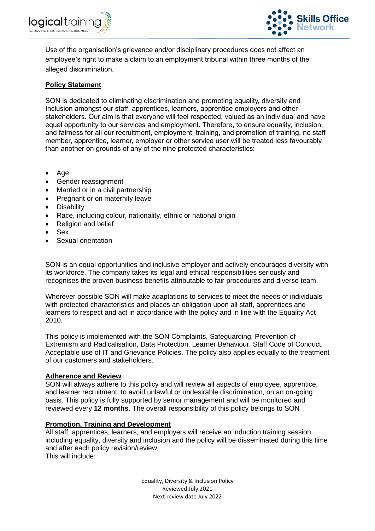



Use of the organisation's grievance and/or disciplinary procedures does not affect an employee's right to make a claim to an employment tribunal within three months of the alleged discrimination.

# **Policy Statement**

SON is dedicated to eliminating discrimination and promoting equality, diversity and Inclusion amongst our staff, apprentices, learners, apprentice employers and other stakeholders. Our aim is that everyone will feel respected, valued as an individual and have equal opportunity to our services and employment. Therefore, to ensure equality, inclusion, and fairness for all our recruitment, employment, training, and promotion of training, no staff member, apprentice, learner, employer or other service user will be treated less favourably than another on grounds of any of the nine protected characteristics:

- Age
- Gender reassignment
- Married or in a civil partnership
- Pregnant or on maternity leave
- Disability
- Race, including colour, nationality, ethnic or national origin
- Religion and belief
- Sex
- Sexual orientation

SON is an equal opportunities and inclusive employer and actively encourages diversity with its workforce. The company takes its legal and ethical responsibilities seriously and recognises the proven business benefits attributable to fair procedures and diverse team.

Wherever possible SON will make adaptations to services to meet the needs of individuals with protected characteristics and places an obligation upon all staff, apprentices and learners to respect and act in accordance with the policy and in line with the Equality Act 2010.

This policy is implemented with the SON Complaints, Safeguarding, Prevention of Extremism and Radicalisation, Data Protection, Learner Behaviour, Staff Code of Conduct, Acceptable use of IT and Grievance Policies. The policy also applies equally to the treatment of our customers and stakeholders.

# **Adherence and Review**

SON will always adhere to this policy and will review all aspects of employee, apprentice, and learner recruitment, to avoid unlawful or undesirable discrimination, on an on-going basis. This policy is fully supported by senior management and will be monitored and reviewed every **12 months**. The overall responsibility of this policy belongs to SON

#### **Promotion, Training and Development**

All staff, apprentices, learners, and employers will receive an induction training session including equality, diversity and inclusion and the policy will be disseminated during this time and after each policy revision/review. This will include: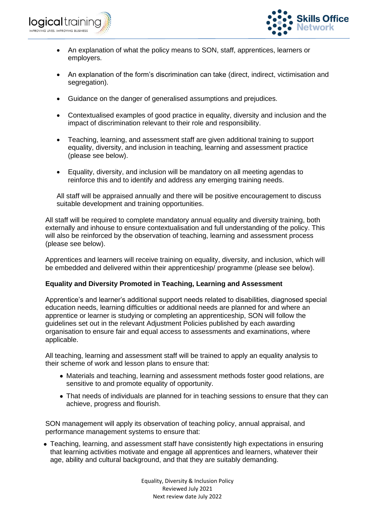



- An explanation of what the policy means to SON, staff, apprentices, learners or employers.
- An explanation of the form's discrimination can take (direct, indirect, victimisation and segregation).
- Guidance on the danger of generalised assumptions and prejudices.
- Contextualised examples of good practice in equality, diversity and inclusion and the impact of discrimination relevant to their role and responsibility.
- Teaching, learning, and assessment staff are given additional training to support equality, diversity, and inclusion in teaching, learning and assessment practice (please see below).
- Equality, diversity, and inclusion will be mandatory on all meeting agendas to reinforce this and to identify and address any emerging training needs.

All staff will be appraised annually and there will be positive encouragement to discuss suitable development and training opportunities.

All staff will be required to complete mandatory annual equality and diversity training, both externally and inhouse to ensure contextualisation and full understanding of the policy. This will also be reinforced by the observation of teaching, learning and assessment process (please see below).

Apprentices and learners will receive training on equality, diversity, and inclusion, which will be embedded and delivered within their apprenticeship/ programme (please see below).

# **Equality and Diversity Promoted in Teaching, Learning and Assessment**

Apprentice's and learner's additional support needs related to disabilities, diagnosed special education needs, learning difficulties or additional needs are planned for and where an apprentice or learner is studying or completing an apprenticeship, SON will follow the guidelines set out in the relevant Adjustment Policies published by each awarding organisation to ensure fair and equal access to assessments and examinations, where applicable.

All teaching, learning and assessment staff will be trained to apply an equality analysis to their scheme of work and lesson plans to ensure that:

- Materials and teaching, learning and assessment methods foster good relations, are sensitive to and promote equality of opportunity.
- That needs of individuals are planned for in teaching sessions to ensure that they can achieve, progress and flourish.

SON management will apply its observation of teaching policy, annual appraisal, and performance management systems to ensure that:

• Teaching, learning, and assessment staff have consistently high expectations in ensuring that learning activities motivate and engage all apprentices and learners, whatever their age, ability and cultural background, and that they are suitably demanding.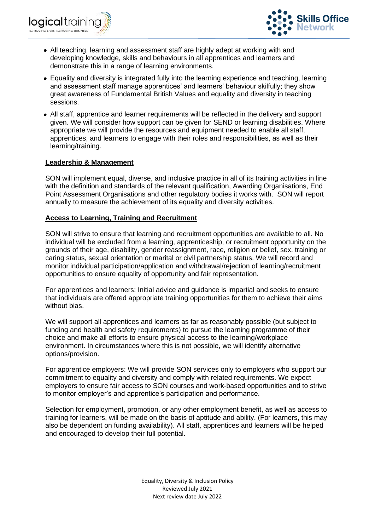



- All teaching, learning and assessment staff are highly adept at working with and developing knowledge, skills and behaviours in all apprentices and learners and demonstrate this in a range of learning environments.
- Equality and diversity is integrated fully into the learning experience and teaching, learning and assessment staff manage apprentices' and learners' behaviour skilfully; they show great awareness of Fundamental British Values and equality and diversity in teaching sessions.
- All staff, apprentice and learner requirements will be reflected in the delivery and support given. We will consider how support can be given for SEND or learning disabilities. Where appropriate we will provide the resources and equipment needed to enable all staff, apprentices, and learners to engage with their roles and responsibilities, as well as their learning/training.

# **Leadership & Management**

SON will implement equal, diverse, and inclusive practice in all of its training activities in line with the definition and standards of the relevant qualification, Awarding Organisations, End Point Assessment Organisations and other regulatory bodies it works with. SON will report annually to measure the achievement of its equality and diversity activities.

# **Access to Learning, Training and Recruitment**

SON will strive to ensure that learning and recruitment opportunities are available to all. No individual will be excluded from a learning, apprenticeship, or recruitment opportunity on the grounds of their age, disability, gender reassignment, race, religion or belief, sex, training or caring status, sexual orientation or marital or civil partnership status. We will record and monitor individual participation/application and withdrawal/rejection of learning/recruitment opportunities to ensure equality of opportunity and fair representation.

For apprentices and learners: Initial advice and guidance is impartial and seeks to ensure that individuals are offered appropriate training opportunities for them to achieve their aims without bias.

We will support all apprentices and learners as far as reasonably possible (but subject to funding and health and safety requirements) to pursue the learning programme of their choice and make all efforts to ensure physical access to the learning/workplace environment. In circumstances where this is not possible, we will identify alternative options/provision.

For apprentice employers: We will provide SON services only to employers who support our commitment to equality and diversity and comply with related requirements. We expect employers to ensure fair access to SON courses and work-based opportunities and to strive to monitor employer's and apprentice's participation and performance.

Selection for employment, promotion, or any other employment benefit, as well as access to training for learners, will be made on the basis of aptitude and ability. (For learners, this may also be dependent on funding availability). All staff, apprentices and learners will be helped and encouraged to develop their full potential.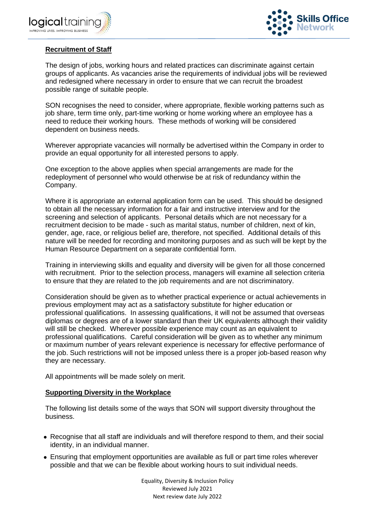



# **Recruitment of Staff**

The design of jobs, working hours and related practices can discriminate against certain groups of applicants. As vacancies arise the requirements of individual jobs will be reviewed and redesigned where necessary in order to ensure that we can recruit the broadest possible range of suitable people.

SON recognises the need to consider, where appropriate, flexible working patterns such as job share, term time only, part-time working or home working where an employee has a need to reduce their working hours. These methods of working will be considered dependent on business needs.

Wherever appropriate vacancies will normally be advertised within the Company in order to provide an equal opportunity for all interested persons to apply.

One exception to the above applies when special arrangements are made for the redeployment of personnel who would otherwise be at risk of redundancy within the Company.

Where it is appropriate an external application form can be used. This should be designed to obtain all the necessary information for a fair and instructive interview and for the screening and selection of applicants. Personal details which are not necessary for a recruitment decision to be made - such as marital status, number of children, next of kin, gender, age, race, or religious belief are, therefore, not specified. Additional details of this nature will be needed for recording and monitoring purposes and as such will be kept by the Human Resource Department on a separate confidential form.

Training in interviewing skills and equality and diversity will be given for all those concerned with recruitment. Prior to the selection process, managers will examine all selection criteria to ensure that they are related to the job requirements and are not discriminatory.

Consideration should be given as to whether practical experience or actual achievements in previous employment may act as a satisfactory substitute for higher education or professional qualifications. In assessing qualifications, it will not be assumed that overseas diplomas or degrees are of a lower standard than their UK equivalents although their validity will still be checked. Wherever possible experience may count as an equivalent to professional qualifications. Careful consideration will be given as to whether any minimum or maximum number of years relevant experience is necessary for effective performance of the job. Such restrictions will not be imposed unless there is a proper job-based reason why they are necessary.

All appointments will be made solely on merit.

#### **Supporting Diversity in the Workplace**

The following list details some of the ways that SON will support diversity throughout the business.

- Recognise that all staff are individuals and will therefore respond to them, and their social identity, in an individual manner.
- Ensuring that employment opportunities are available as full or part time roles wherever possible and that we can be flexible about working hours to suit individual needs.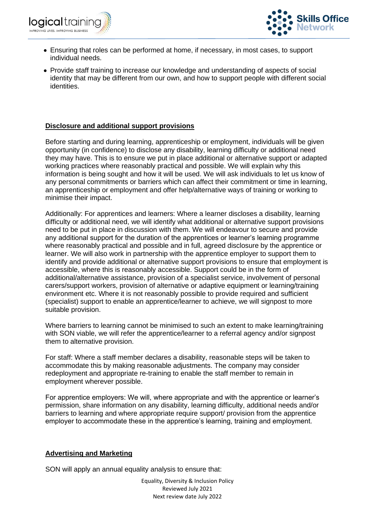



- Ensuring that roles can be performed at home, if necessary, in most cases, to support individual needs.
- Provide staff training to increase our knowledge and understanding of aspects of social identity that may be different from our own, and how to support people with different social identities.

# **Disclosure and additional support provisions**

Before starting and during learning, apprenticeship or employment, individuals will be given opportunity (in confidence) to disclose any disability, learning difficulty or additional need they may have. This is to ensure we put in place additional or alternative support or adapted working practices where reasonably practical and possible. We will explain why this information is being sought and how it will be used. We will ask individuals to let us know of any personal commitments or barriers which can affect their commitment or time in learning, an apprenticeship or employment and offer help/alternative ways of training or working to minimise their impact.

Additionally: For apprentices and learners: Where a learner discloses a disability, learning difficulty or additional need, we will identify what additional or alternative support provisions need to be put in place in discussion with them. We will endeavour to secure and provide any additional support for the duration of the apprentices or learner's learning programme where reasonably practical and possible and in full, agreed disclosure by the apprentice or learner. We will also work in partnership with the apprentice employer to support them to identify and provide additional or alternative support provisions to ensure that employment is accessible, where this is reasonably accessible. Support could be in the form of additional/alternative assistance, provision of a specialist service, involvement of personal carers/support workers, provision of alternative or adaptive equipment or learning/training environment etc. Where it is not reasonably possible to provide required and sufficient (specialist) support to enable an apprentice/learner to achieve, we will signpost to more suitable provision.

Where barriers to learning cannot be minimised to such an extent to make learning/training with SON viable, we will refer the apprentice/learner to a referral agency and/or signpost them to alternative provision.

For staff: Where a staff member declares a disability, reasonable steps will be taken to accommodate this by making reasonable adjustments. The company may consider redeployment and appropriate re-training to enable the staff member to remain in employment wherever possible.

For apprentice employers: We will, where appropriate and with the apprentice or learner's permission, share information on any disability, learning difficulty, additional needs and/or barriers to learning and where appropriate require support/ provision from the apprentice employer to accommodate these in the apprentice's learning, training and employment.

# **Advertising and Marketing**

SON will apply an annual equality analysis to ensure that: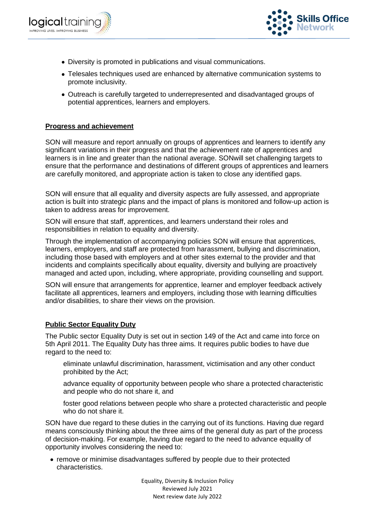



- Diversity is promoted in publications and visual communications.
- Telesales techniques used are enhanced by alternative communication systems to promote inclusivity.
- Outreach is carefully targeted to underrepresented and disadvantaged groups of potential apprentices, learners and employers.

# **Progress and achievement**

SON will measure and report annually on groups of apprentices and learners to identify any significant variations in their progress and that the achievement rate of apprentices and learners is in line and greater than the national average. SONwill set challenging targets to ensure that the performance and destinations of different groups of apprentices and learners are carefully monitored, and appropriate action is taken to close any identified gaps.

SON will ensure that all equality and diversity aspects are fully assessed, and appropriate action is built into strategic plans and the impact of plans is monitored and follow-up action is taken to address areas for improvement.

SON will ensure that staff, apprentices, and learners understand their roles and responsibilities in relation to equality and diversity.

Through the implementation of accompanying policies SON will ensure that apprentices, learners, employers, and staff are protected from harassment, bullying and discrimination, including those based with employers and at other sites external to the provider and that incidents and complaints specifically about equality, diversity and bullying are proactively managed and acted upon, including, where appropriate, providing counselling and support.

SON will ensure that arrangements for apprentice, learner and employer feedback actively facilitate all apprentices, learners and employers, including those with learning difficulties and/or disabilities, to share their views on the provision.

# **Public Sector Equality Duty**

The Public sector Equality Duty is set out in section 149 of the Act and came into force on 5th April 2011. The Equality Duty has three aims. It requires public bodies to have due regard to the need to:

eliminate unlawful discrimination, harassment, victimisation and any other conduct prohibited by the Act;

advance equality of opportunity between people who share a protected characteristic and people who do not share it, and

foster good relations between people who share a protected characteristic and people who do not share it.

SON have due regard to these duties in the carrying out of its functions. Having due regard means consciously thinking about the three aims of the general duty as part of the process of decision-making. For example, having due regard to the need to advance equality of opportunity involves considering the need to:

• remove or minimise disadvantages suffered by people due to their protected characteristics.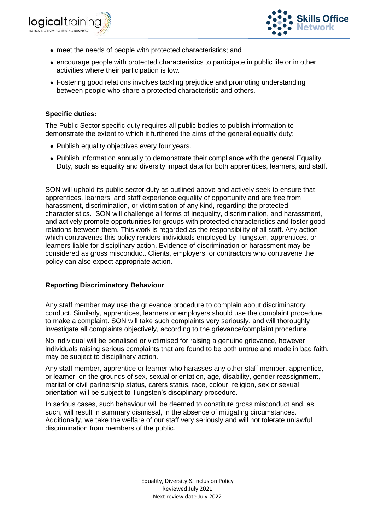



- meet the needs of people with protected characteristics; and
- encourage people with protected characteristics to participate in public life or in other activities where their participation is low.
- Fostering good relations involves tackling prejudice and promoting understanding between people who share a protected characteristic and others.

### **Specific duties:**

The Public Sector specific duty requires all public bodies to publish information to demonstrate the extent to which it furthered the aims of the general equality duty:

- Publish equality objectives every four years.
- Publish information annually to demonstrate their compliance with the general Equality Duty, such as equality and diversity impact data for both apprentices, learners, and staff.

SON will uphold its public sector duty as outlined above and actively seek to ensure that apprentices, learners, and staff experience equality of opportunity and are free from harassment, discrimination, or victimisation of any kind, regarding the protected characteristics. SON will challenge all forms of inequality, discrimination, and harassment, and actively promote opportunities for groups with protected characteristics and foster good relations between them. This work is regarded as the responsibility of all staff. Any action which contravenes this policy renders individuals employed by Tungsten, apprentices, or learners liable for disciplinary action. Evidence of discrimination or harassment may be considered as gross misconduct. Clients, employers, or contractors who contravene the policy can also expect appropriate action.

#### **Reporting Discriminatory Behaviour**

Any staff member may use the grievance procedure to complain about discriminatory conduct. Similarly, apprentices, learners or employers should use the complaint procedure, to make a complaint. SON will take such complaints very seriously, and will thoroughly investigate all complaints objectively, according to the grievance/complaint procedure.

No individual will be penalised or victimised for raising a genuine grievance, however individuals raising serious complaints that are found to be both untrue and made in bad faith, may be subject to disciplinary action.

Any staff member, apprentice or learner who harasses any other staff member, apprentice, or learner, on the grounds of sex, sexual orientation, age, disability, gender reassignment, marital or civil partnership status, carers status, race, colour, religion, sex or sexual orientation will be subject to Tungsten's disciplinary procedure.

In serious cases, such behaviour will be deemed to constitute gross misconduct and, as such, will result in summary dismissal, in the absence of mitigating circumstances. Additionally, we take the welfare of our staff very seriously and will not tolerate unlawful discrimination from members of the public.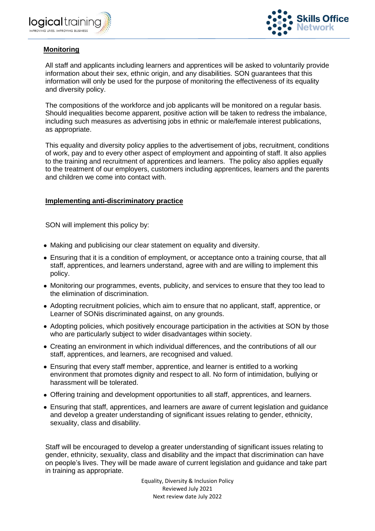



# **Monitoring**

All staff and applicants including learners and apprentices will be asked to voluntarily provide information about their sex, ethnic origin, and any disabilities. SON guarantees that this information will only be used for the purpose of monitoring the effectiveness of its equality and diversity policy.

The compositions of the workforce and job applicants will be monitored on a regular basis. Should inequalities become apparent, positive action will be taken to redress the imbalance, including such measures as advertising jobs in ethnic or male/female interest publications, as appropriate.

This equality and diversity policy applies to the advertisement of jobs, recruitment, conditions of work, pay and to every other aspect of employment and appointing of staff. It also applies to the training and recruitment of apprentices and learners. The policy also applies equally to the treatment of our employers, customers including apprentices, learners and the parents and children we come into contact with.

# **Implementing anti-discriminatory practice**

SON will implement this policy by:

- Making and publicising our clear statement on equality and diversity.
- Ensuring that it is a condition of employment, or acceptance onto a training course, that all staff, apprentices, and learners understand, agree with and are willing to implement this policy.
- Monitoring our programmes, events, publicity, and services to ensure that they too lead to the elimination of discrimination.
- Adopting recruitment policies, which aim to ensure that no applicant, staff, apprentice, or Learner of SONis discriminated against, on any grounds.
- Adopting policies, which positively encourage participation in the activities at SON by those who are particularly subject to wider disadvantages within society.
- Creating an environment in which individual differences, and the contributions of all our staff, apprentices, and learners, are recognised and valued.
- Ensuring that every staff member, apprentice, and learner is entitled to a working environment that promotes dignity and respect to all. No form of intimidation, bullying or harassment will be tolerated.
- Offering training and development opportunities to all staff, apprentices, and learners.
- Ensuring that staff, apprentices, and learners are aware of current legislation and guidance and develop a greater understanding of significant issues relating to gender, ethnicity, sexuality, class and disability.

Staff will be encouraged to develop a greater understanding of significant issues relating to gender, ethnicity, sexuality, class and disability and the impact that discrimination can have on people's lives. They will be made aware of current legislation and guidance and take part in training as appropriate.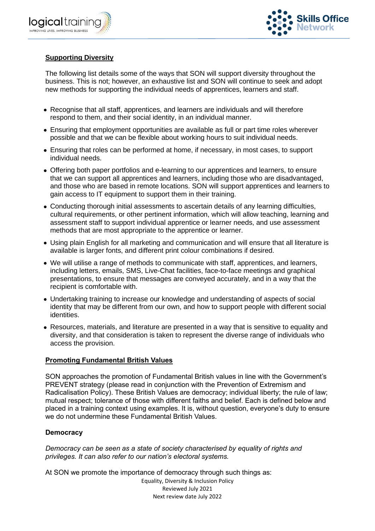



# **Supporting Diversity**

The following list details some of the ways that SON will support diversity throughout the business. This is not; however, an exhaustive list and SON will continue to seek and adopt new methods for supporting the individual needs of apprentices, learners and staff.

- Recognise that all staff, apprentices, and learners are individuals and will therefore respond to them, and their social identity, in an individual manner.
- Ensuring that employment opportunities are available as full or part time roles wherever possible and that we can be flexible about working hours to suit individual needs.
- Ensuring that roles can be performed at home, if necessary, in most cases, to support individual needs.
- Offering both paper portfolios and e-learning to our apprentices and learners, to ensure that we can support all apprentices and learners, including those who are disadvantaged, and those who are based in remote locations. SON will support apprentices and learners to gain access to IT equipment to support them in their training.
- Conducting thorough initial assessments to ascertain details of any learning difficulties, cultural requirements, or other pertinent information, which will allow teaching, learning and assessment staff to support individual apprentice or learner needs, and use assessment methods that are most appropriate to the apprentice or learner.
- Using plain English for all marketing and communication and will ensure that all literature is available is larger fonts, and different print colour combinations if desired.
- We will utilise a range of methods to communicate with staff, apprentices, and learners, including letters, emails, SMS, Live-Chat facilities, face-to-face meetings and graphical presentations, to ensure that messages are conveyed accurately, and in a way that the recipient is comfortable with.
- Undertaking training to increase our knowledge and understanding of aspects of social identity that may be different from our own, and how to support people with different social identities.
- Resources, materials, and literature are presented in a way that is sensitive to equality and diversity, and that consideration is taken to represent the diverse range of individuals who access the provision.

# **Promoting Fundamental British Values**

SON approaches the promotion of Fundamental British values in line with the Government's PREVENT strategy (please read in conjunction with the Prevention of Extremism and Radicalisation Policy). These British Values are democracy; individual liberty; the rule of law; mutual respect; tolerance of those with different faiths and belief. Each is defined below and placed in a training context using examples. It is, without question, everyone's duty to ensure we do not undermine these Fundamental British Values.

# **Democracy**

*Democracy can be seen as a state of society characterised by equality of rights and privileges. It can also refer to our nation's electoral systems.*

At SON we promote the importance of democracy through such things as: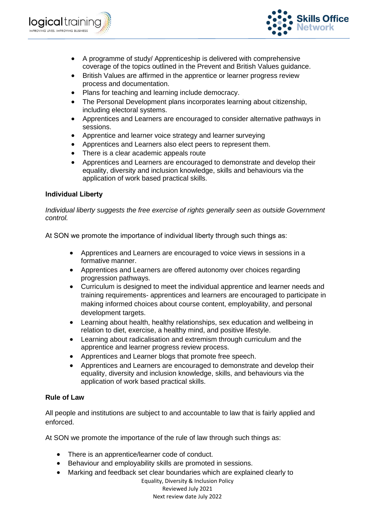



- A programme of study/ Apprenticeship is delivered with comprehensive coverage of the topics outlined in the Prevent and British Values guidance.
- British Values are affirmed in the apprentice or learner progress review process and documentation.
- Plans for teaching and learning include democracy.
- The Personal Development plans incorporates learning about citizenship, including electoral systems.
- Apprentices and Learners are encouraged to consider alternative pathways in sessions.
- Apprentice and learner voice strategy and learner surveying
- Apprentices and Learners also elect peers to represent them.
- There is a clear academic appeals route
- Apprentices and Learners are encouraged to demonstrate and develop their equality, diversity and inclusion knowledge, skills and behaviours via the application of work based practical skills.

# **Individual Liberty**

*Individual liberty suggests the free exercise of rights generally seen as outside Government control.*

At SON we promote the importance of individual liberty through such things as:

- Apprentices and Learners are encouraged to voice views in sessions in a formative manner.
- Apprentices and Learners are offered autonomy over choices regarding progression pathways.
- Curriculum is designed to meet the individual apprentice and learner needs and training requirements- apprentices and learners are encouraged to participate in making informed choices about course content, employability, and personal development targets.
- Learning about health, healthy relationships, sex education and wellbeing in relation to diet, exercise, a healthy mind, and positive lifestyle.
- Learning about radicalisation and extremism through curriculum and the apprentice and learner progress review process.
- Apprentices and Learner blogs that promote free speech.
- Apprentices and Learners are encouraged to demonstrate and develop their equality, diversity and inclusion knowledge, skills, and behaviours via the application of work based practical skills.

# **Rule of Law**

All people and institutions are subject to and accountable to law that is fairly applied and enforced.

At SON we promote the importance of the rule of law through such things as:

- There is an apprentice/learner code of conduct.
- Behaviour and employability skills are promoted in sessions.
- Marking and feedback set clear boundaries which are explained clearly to

Equality, Diversity & Inclusion Policy Reviewed July 2021

Next review date July 2022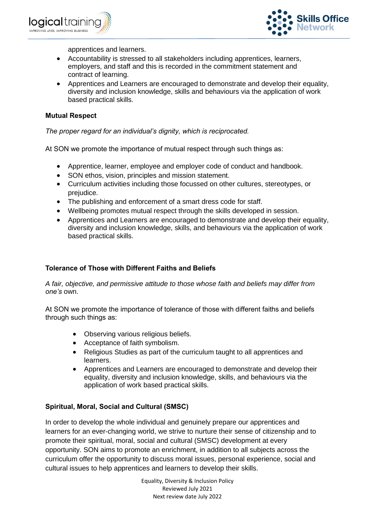



apprentices and learners.

- Accountability is stressed to all stakeholders including apprentices, learners, employers, and staff and this is recorded in the commitment statement and contract of learning.
- Apprentices and Learners are encouraged to demonstrate and develop their equality, diversity and inclusion knowledge, skills and behaviours via the application of work based practical skills.

# **Mutual Respect**

*The proper regard for an individual's dignity, which is reciprocated.*

At SON we promote the importance of mutual respect through such things as:

- Apprentice, learner, employee and employer code of conduct and handbook.
- SON ethos, vision, principles and mission statement.
- Curriculum activities including those focussed on other cultures, stereotypes, or prejudice.
- The publishing and enforcement of a smart dress code for staff.
- Wellbeing promotes mutual respect through the skills developed in session.
- Apprentices and Learners are encouraged to demonstrate and develop their equality, diversity and inclusion knowledge, skills, and behaviours via the application of work based practical skills.

# **Tolerance of Those with Different Faiths and Beliefs**

*A fair, objective, and permissive attitude to those whose faith and beliefs may differ from one's* own.

At SON we promote the importance of tolerance of those with different faiths and beliefs through such things as:

- Observing various religious beliefs.
- Acceptance of faith symbolism.
- Religious Studies as part of the curriculum taught to all apprentices and learners.
- Apprentices and Learners are encouraged to demonstrate and develop their equality, diversity and inclusion knowledge, skills, and behaviours via the application of work based practical skills.

# **Spiritual, Moral, Social and Cultural (SMSC)**

In order to develop the whole individual and genuinely prepare our apprentices and learners for an ever-changing world, we strive to nurture their sense of citizenship and to promote their spiritual, moral, social and cultural (SMSC) development at every opportunity. SON aims to promote an enrichment, in addition to all subjects across the curriculum offer the opportunity to discuss moral issues, personal experience, social and cultural issues to help apprentices and learners to develop their skills.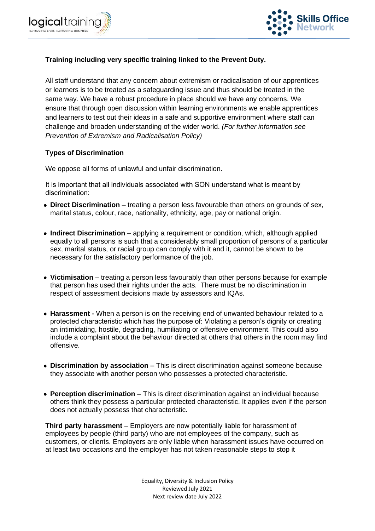



# **Training including very specific training linked to the Prevent Duty.**

All staff understand that any concern about extremism or radicalisation of our apprentices or learners is to be treated as a safeguarding issue and thus should be treated in the same way. We have a robust procedure in place should we have any concerns. We ensure that through open discussion within learning environments we enable apprentices and learners to test out their ideas in a safe and supportive environment where staff can challenge and broaden understanding of the wider world. *(For further information see Prevention of Extremism and Radicalisation Policy)*

### **Types of Discrimination**

We oppose all forms of unlawful and unfair discrimination.

It is important that all individuals associated with SON understand what is meant by discrimination:

- **Direct Discrimination** treating a person less favourable than others on grounds of sex, marital status, colour, race, nationality, ethnicity, age, pay or national origin.
- **Indirect Discrimination**  applying a requirement or condition, which, although applied equally to all persons is such that a considerably small proportion of persons of a particular sex, marital status, or racial group can comply with it and it, cannot be shown to be necessary for the satisfactory performance of the job.
- **Victimisation**  treating a person less favourably than other persons because for example that person has used their rights under the acts. There must be no discrimination in respect of assessment decisions made by assessors and IQAs.
- **Harassment -** When a person is on the receiving end of unwanted behaviour related to a protected characteristic which has the purpose of: Violating a person's dignity or creating an intimidating, hostile, degrading, humiliating or offensive environment. This could also include a complaint about the behaviour directed at others that others in the room may find offensive.
- **Discrimination by association –** This is direct discrimination against someone because they associate with another person who possesses a protected characteristic.
- **Perception discrimination** This is direct discrimination against an individual because others think they possess a particular protected characteristic. It applies even if the person does not actually possess that characteristic.

**Third party harassment** – Employers are now potentially liable for harassment of employees by people (third party) who are not employees of the company, such as customers, or clients. Employers are only liable when harassment issues have occurred on at least two occasions and the employer has not taken reasonable steps to stop it